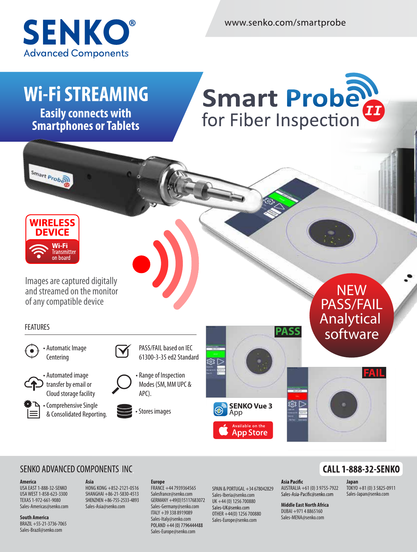

www.senko.com/smartprobe

# **Wi-Fi STREAMING**

**Easily connects with Smartphones or Tablets**

# Smart Probe for Fiber Inspection



**Smart Probat** 

Images are captured digitally and streamed on the monitor of any compatible device

### FEATURES



• Automatic Image **Centering** 



• Automated image  ${\mathsf 1}$  transfer by email or



Cloud storage facility  $\blacktriangleright$  - Comprehensive Single





**Europe Europe**

PASS/FAIL based on IEC 61300-3-35 ed2 Standard

• Range of Inspection



PASS/FAIL PASS/FAIL Analytical marytical software **NEW** software



### SENKO ADVANCED COMPONENTS INC

### **America America**

USA EAST 1-888-32-SENKO USA EAST 1-888-32-SENKO USA WEST 1-858-623-3300 USA WEST 1-858-623-3300 TEXAS 1-972-661-9080 TEXAS 1-972-661-9080 Sales-Americas@senko.com Sales-Americas@senko.com

**South America South America** BRAZIL +55-21-3736-7065 BRAZIL +55-21-3736-7065 Sales-Brazil@senko.com Sales-Brazil@senko.com

#### **Asia Asia** HONG KONG +852-2121-0516 HONG KONG +852-2121-0516 SHANGHAI +86-21-5830-4513 SHANGHAI +86-21-5830-4513 SHENZHEN +86-755-2533-4893 SHENZHEN +86-755-2533-4893 Sales-Asia@senko.com Sales-Asia@senko.com

FRANCE +44 7939364565 FRANCE +44 7939364565 Salesfrance@senko.com Salesfrance@senko.com GERMANY +49(0)15117683072 GERMANY +49(0)15117683072 Sales-Germany@senko.com Sales-Germany@senko.com ITALY +39 338 8919089 ITALY +39 338 8919089 Sales-Italy@senko.com Sales-Italy@senko.com Sales-Europe@senko.com Sales-Europe@senko.com

SPAIN & PORTUGAL+34 678042829 SPAIN & PORTUGAL+34 678042829 Sales-Iberia@senko.com Sales-Iberia@senko.com UK +44 (0) 1256 700880 UK +44 (0) 1256 700880 OTHER +44(0) 1256 700880 OTHER +44(0) 1256 700880 Sales-Europe@senko.com Sales-Europe@senko.com

### **CALL 1-888-32-SENKO**

**Japan Japan** TOKYO +81 (0) 3 5825-0911 TOKYO +81 (0) 3 5825-0911 Sales-Japan@senko.com Sales-Japan@senko.com

**Middle East North Africa Middle East North Africa** DUBAI +971 4 8865160 DUBAI +971 4 8865160 Sales-MENA@senko.com Sales-MENA@senko.com

AUSTRALIA +61 (0) 3 9755-7922 AUSTRALIA +61 (0) 3 9755-7922

Asia Pacific